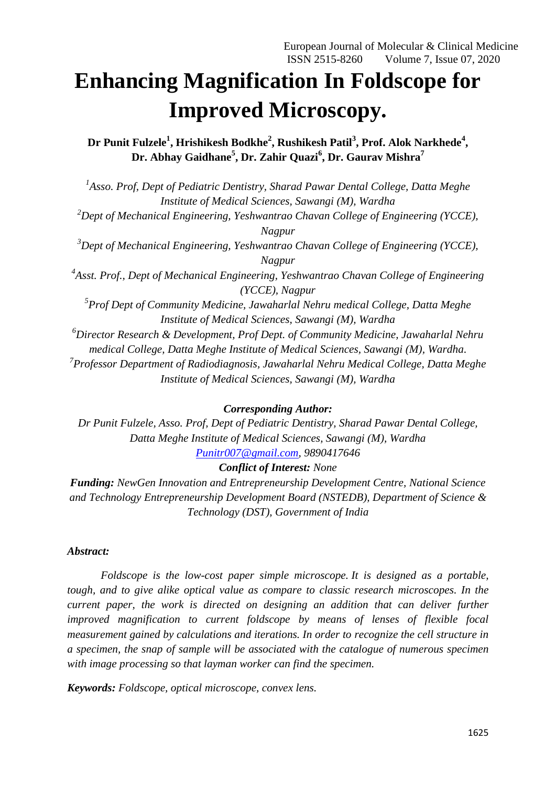# **Enhancing Magnification In Foldscope for Improved Microscopy.**

**Dr Punit Fulzele<sup>1</sup> , Hrishikesh Bodkhe<sup>2</sup> , Rushikesh Patil<sup>3</sup> , Prof. Alok Narkhede<sup>4</sup> , Dr. Abhay Gaidhane<sup>5</sup> , Dr. Zahir Quazi<sup>6</sup> , Dr. Gaurav Mishra<sup>7</sup>**

*1 Asso. Prof, Dept of Pediatric Dentistry, Sharad Pawar Dental College, Datta Meghe Institute of Medical Sciences, Sawangi (M), Wardha <sup>2</sup>Dept of Mechanical Engineering, Yeshwantrao Chavan College of Engineering (YCCE), Nagpur <sup>3</sup>Dept of Mechanical Engineering, Yeshwantrao Chavan College of Engineering (YCCE), Nagpur 4 Asst. Prof., Dept of Mechanical Engineering, Yeshwantrao Chavan College of Engineering (YCCE), Nagpur 5 Prof Dept of Community Medicine, Jawaharlal Nehru medical College, Datta Meghe Institute of Medical Sciences, Sawangi (M), Wardha <sup>6</sup>Director Research & Development, Prof Dept. of Community Medicine, Jawaharlal Nehru medical College, Datta Meghe Institute of Medical Sciences, Sawangi (M), Wardha. 7 Professor Department of Radiodiagnosis, Jawaharlal Nehru Medical College, Datta Meghe Institute of Medical Sciences, Sawangi (M), Wardha*

## *Corresponding Author:*

*Dr Punit Fulzele, Asso. Prof, Dept of Pediatric Dentistry, Sharad Pawar Dental College, Datta Meghe Institute of Medical Sciences, Sawangi (M), Wardha [Punitr007@gmail.com,](mailto:Punitr007@gmail.com) 9890417646*

## *Conflict of Interest: None*

*Funding: NewGen Innovation and Entrepreneurship Development Centre, National Science and Technology Entrepreneurship Development Board (NSTEDB), Department of Science & Technology (DST), Government of India*

#### *Abstract:*

*Foldscope is the low-cost paper simple microscope. It is designed as a portable, tough, and to give alike optical value as compare to classic research microscopes. In the current paper, the work is directed on designing an addition that can deliver further improved magnification to current foldscope by means of lenses of flexible focal measurement gained by calculations and iterations. In order to recognize the cell structure in a specimen, the snap of sample will be associated with the catalogue of numerous specimen with image processing so that layman worker can find the specimen.*

*Keywords: Foldscope, optical microscope, convex lens.*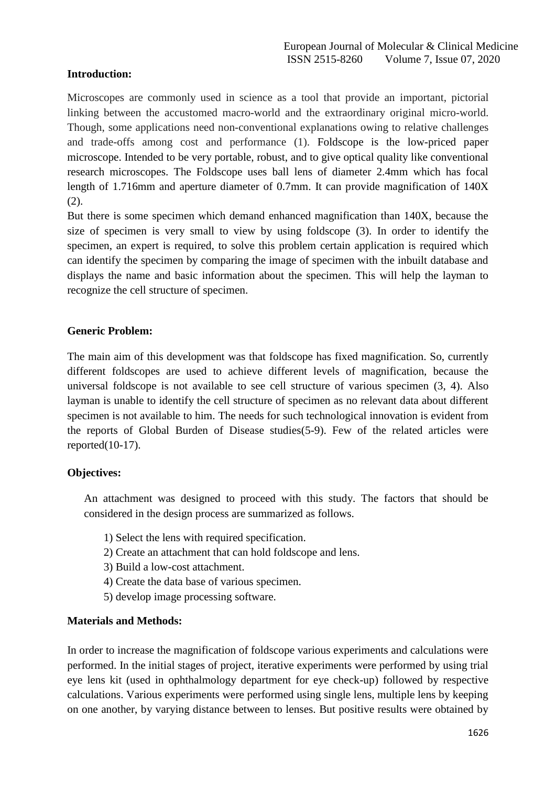## **Introduction:**

Microscopes are commonly used in science as a tool that provide an important, pictorial linking between the accustomed macro-world and the extraordinary original micro-world. Though, some applications need non-conventional explanations owing to relative challenges and trade-offs among cost and performance (1). Foldscope is the low-priced paper microscope. Intended to be very portable, robust, and to give optical quality like conventional research microscopes. The Foldscope uses ball lens of diameter 2.4mm which has focal length of 1.716mm and aperture diameter of 0.7mm. It can provide magnification of 140X (2).

But there is some specimen which demand enhanced magnification than 140X, because the size of specimen is very small to view by using foldscope (3). In order to identify the specimen, an expert is required, to solve this problem certain application is required which can identify the specimen by comparing the image of specimen with the inbuilt database and displays the name and basic information about the specimen. This will help the layman to recognize the cell structure of specimen.

## **Generic Problem:**

The main aim of this development was that foldscope has fixed magnification. So, currently different foldscopes are used to achieve different levels of magnification, because the universal foldscope is not available to see cell structure of various specimen (3, 4). Also layman is unable to identify the cell structure of specimen as no relevant data about different specimen is not available to him. The needs for such technological innovation is evident from the reports of Global Burden of Disease studies(5-9). Few of the related articles were reported(10-17).

## **Objectives:**

An attachment was designed to proceed with this study. The factors that should be considered in the design process are summarized as follows.

- 1) Select the lens with required specification.
- 2) Create an attachment that can hold foldscope and lens.
- 3) Build a low-cost attachment.
- 4) Create the data base of various specimen.
- 5) develop image processing software.

## **Materials and Methods:**

In order to increase the magnification of foldscope various experiments and calculations were performed. In the initial stages of project, iterative experiments were performed by using trial eye lens kit (used in ophthalmology department for eye check-up) followed by respective calculations. Various experiments were performed using single lens, multiple lens by keeping on one another, by varying distance between to lenses. But positive results were obtained by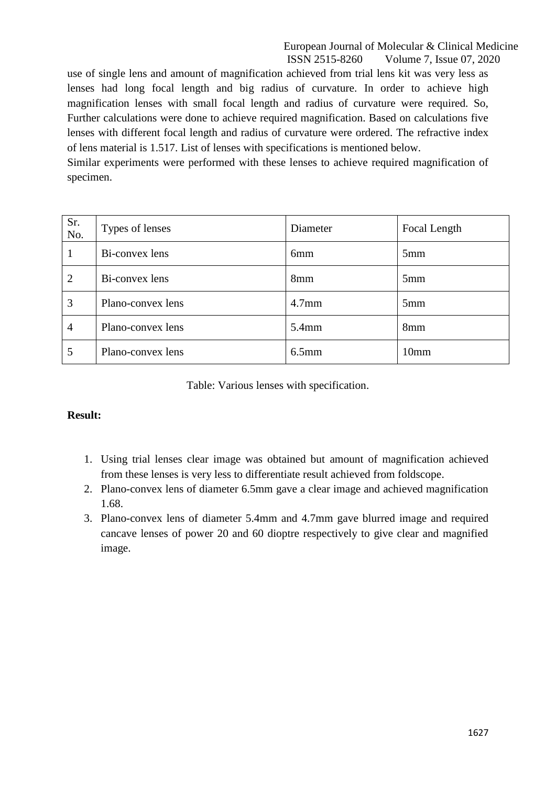European Journal of Molecular & Clinical Medicine ISSN 2515-8260 Volume 7, Issue 07, 2020

use of single lens and amount of magnification achieved from trial lens kit was very less as lenses had long focal length and big radius of curvature. In order to achieve high magnification lenses with small focal length and radius of curvature were required. So, Further calculations were done to achieve required magnification. Based on calculations five lenses with different focal length and radius of curvature were ordered. The refractive index of lens material is 1.517. List of lenses with specifications is mentioned below.

Similar experiments were performed with these lenses to achieve required magnification of specimen.

| Sr.<br>No.     | Types of lenses   | Diameter        | Focal Length    |
|----------------|-------------------|-----------------|-----------------|
|                | Bi-convex lens    | 6 <sub>mm</sub> | 5mm             |
| $\overline{2}$ | Bi-convex lens    | 8 <sub>mm</sub> | 5mm             |
| 3              | Plano-convex lens | $4.7$ mm        | 5mm             |
| $\overline{4}$ | Plano-convex lens | $5.4$ mm        | 8 <sub>mm</sub> |
| 5              | Plano-convex lens | $6.5$ mm        | 10mm            |

Table: Various lenses with specification.

#### **Result:**

- 1. Using trial lenses clear image was obtained but amount of magnification achieved from these lenses is very less to differentiate result achieved from foldscope.
- 2. Plano-convex lens of diameter 6.5mm gave a clear image and achieved magnification 1.68.
- 3. Plano-convex lens of diameter 5.4mm and 4.7mm gave blurred image and required cancave lenses of power 20 and 60 dioptre respectively to give clear and magnified image.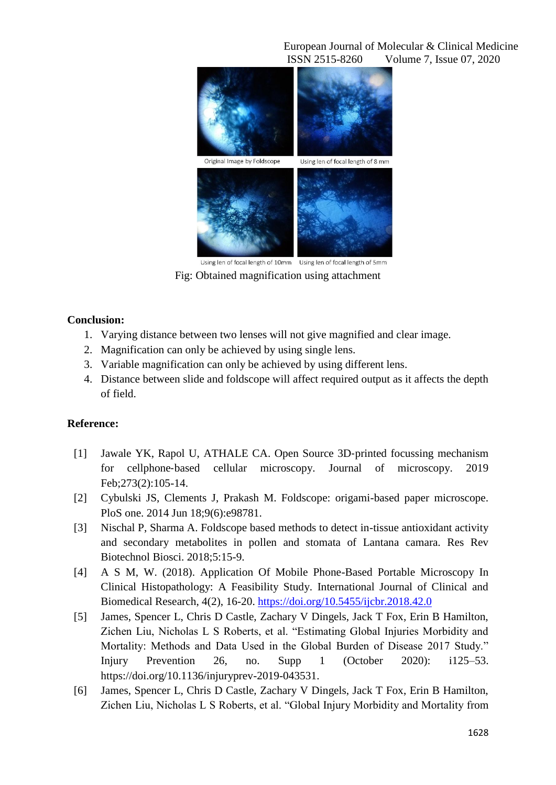European Journal of Molecular & Clinical Medicine ISSN 2515-8260 Volume 7, Issue 07, 2020



Using len of focal length of 10mm Using len of focal length of 5mm Fig: Obtained magnification using attachment

#### **Conclusion:**

- 1. Varying distance between two lenses will not give magnified and clear image.
- 2. Magnification can only be achieved by using single lens.
- 3. Variable magnification can only be achieved by using different lens.
- 4. Distance between slide and foldscope will affect required output as it affects the depth of field.

#### **Reference:**

- [1] Jawale YK, Rapol U, ATHALE CA. Open Source 3D-printed focussing mechanism for cellphone‐based cellular microscopy. Journal of microscopy. 2019 Feb;273(2):105-14.
- [2] Cybulski JS, Clements J, Prakash M. Foldscope: origami-based paper microscope. PloS one. 2014 Jun 18;9(6):e98781.
- [3] Nischal P, Sharma A. Foldscope based methods to detect in-tissue antioxidant activity and secondary metabolites in pollen and stomata of Lantana camara. Res Rev Biotechnol Biosci. 2018;5:15-9.
- [4] A S M, W. (2018). Application Of Mobile Phone-Based Portable Microscopy In Clinical Histopathology: A Feasibility Study. International Journal of Clinical and Biomedical Research, 4(2), 16-20.<https://doi.org/10.5455/ijcbr.2018.42.0>
- [5] James, Spencer L, Chris D Castle, Zachary V Dingels, Jack T Fox, Erin B Hamilton, Zichen Liu, Nicholas L S Roberts, et al. "Estimating Global Injuries Morbidity and Mortality: Methods and Data Used in the Global Burden of Disease 2017 Study." Injury Prevention 26, no. Supp 1 (October 2020): i125–53. https://doi.org/10.1136/injuryprev-2019-043531.
- [6] James, Spencer L, Chris D Castle, Zachary V Dingels, Jack T Fox, Erin B Hamilton, Zichen Liu, Nicholas L S Roberts, et al. "Global Injury Morbidity and Mortality from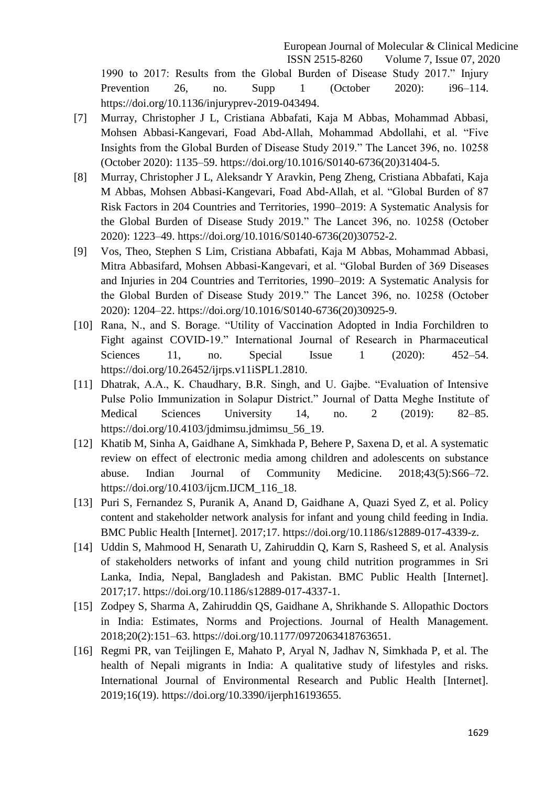European Journal of Molecular & Clinical Medicine ISSN 2515-8260 Volume 7, Issue 07, 2020

1990 to 2017: Results from the Global Burden of Disease Study 2017." Injury Prevention 26, no. Supp 1 (October 2020): i96–114. https://doi.org/10.1136/injuryprev-2019-043494.

- [7] Murray, Christopher J L, Cristiana Abbafati, Kaja M Abbas, Mohammad Abbasi, Mohsen Abbasi-Kangevari, Foad Abd-Allah, Mohammad Abdollahi, et al. "Five Insights from the Global Burden of Disease Study 2019." The Lancet 396, no. 10258 (October 2020): 1135–59. https://doi.org/10.1016/S0140-6736(20)31404-5.
- [8] Murray, Christopher J L, Aleksandr Y Aravkin, Peng Zheng, Cristiana Abbafati, Kaja M Abbas, Mohsen Abbasi-Kangevari, Foad Abd-Allah, et al. "Global Burden of 87 Risk Factors in 204 Countries and Territories, 1990–2019: A Systematic Analysis for the Global Burden of Disease Study 2019." The Lancet 396, no. 10258 (October 2020): 1223–49. https://doi.org/10.1016/S0140-6736(20)30752-2.
- [9] Vos, Theo, Stephen S Lim, Cristiana Abbafati, Kaja M Abbas, Mohammad Abbasi, Mitra Abbasifard, Mohsen Abbasi-Kangevari, et al. "Global Burden of 369 Diseases and Injuries in 204 Countries and Territories, 1990–2019: A Systematic Analysis for the Global Burden of Disease Study 2019." The Lancet 396, no. 10258 (October 2020): 1204–22. https://doi.org/10.1016/S0140-6736(20)30925-9.
- [10] Rana, N., and S. Borage. "Utility of Vaccination Adopted in India Forchildren to Fight against COVID-19." International Journal of Research in Pharmaceutical Sciences 11, no. Special Issue 1 (2020): 452–54. https://doi.org/10.26452/ijrps.v11iSPL1.2810.
- [11] Dhatrak, A.A., K. Chaudhary, B.R. Singh, and U. Gajbe. "Evaluation of Intensive Pulse Polio Immunization in Solapur District." Journal of Datta Meghe Institute of Medical Sciences University 14, no. 2 (2019): 82–85. https://doi.org/10.4103/jdmimsu.jdmimsu\_56\_19.
- [12] Khatib M, Sinha A, Gaidhane A, Simkhada P, Behere P, Saxena D, et al. A systematic review on effect of electronic media among children and adolescents on substance abuse. Indian Journal of Community Medicine. 2018;43(5):S66–72. https://doi.org/10.4103/ijcm.IJCM\_116\_18.
- [13] Puri S, Fernandez S, Puranik A, Anand D, Gaidhane A, Quazi Syed Z, et al. Policy content and stakeholder network analysis for infant and young child feeding in India. BMC Public Health [Internet]. 2017;17. https://doi.org/10.1186/s12889-017-4339-z.
- [14] Uddin S, Mahmood H, Senarath U, Zahiruddin Q, Karn S, Rasheed S, et al. Analysis of stakeholders networks of infant and young child nutrition programmes in Sri Lanka, India, Nepal, Bangladesh and Pakistan. BMC Public Health [Internet]. 2017;17. https://doi.org/10.1186/s12889-017-4337-1.
- [15] Zodpey S, Sharma A, Zahiruddin QS, Gaidhane A, Shrikhande S. Allopathic Doctors in India: Estimates, Norms and Projections. Journal of Health Management. 2018;20(2):151–63. https://doi.org/10.1177/0972063418763651.
- [16] Regmi PR, van Teijlingen E, Mahato P, Aryal N, Jadhav N, Simkhada P, et al. The health of Nepali migrants in India: A qualitative study of lifestyles and risks. International Journal of Environmental Research and Public Health [Internet]. 2019;16(19). https://doi.org/10.3390/ijerph16193655.